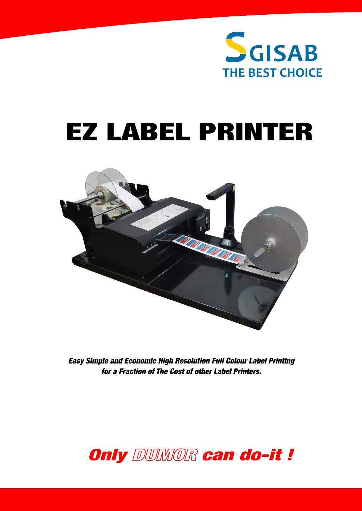

# EZ LABEL PRINTER



*Easy Simple and Economic High Resolution Full Colour Label Printing for a Fraction of The Cost of other Label Printers.*

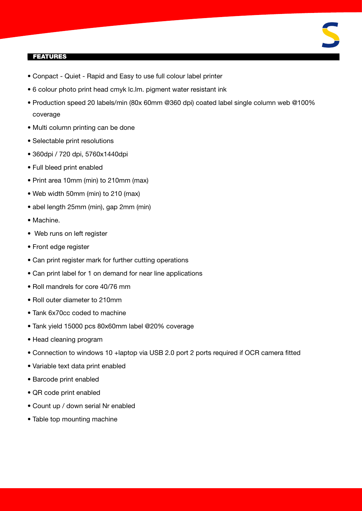# 

# FEATURES

- Conpact Quiet Rapid and Easy to use full colour label printer
- 6 colour photo print head cmyk lc.lm. pigment water resistant ink
- Production speed 20 labels/min (80x 60mm @360 dpi) coated label single column web @100% coverage
- Multi column printing can be done
- Selectable print resolutions
- 360dpi / 720 dpi, 5760x1440dpi
- Full bleed print enabled
- Print area 10mm (min) to 210mm (max)
- Web width 50mm (min) to 210 (max)
- abel length 25mm (min), gap 2mm (min)
- Machine.
- Web runs on left register
- Front edge register
- Can print register mark for further cutting operations
- Can print label for 1 on demand for near line applications
- Roll mandrels for core 40/76 mm
- Roll outer diameter to 210mm
- Tank 6x70cc coded to machine
- Tank yield 15000 pcs 80x60mm label @20% coverage
- Head cleaning program
- Connection to windows 10 +laptop via USB 2.0 port 2 ports required if OCR camera fitted
- Variable text data print enabled
- Barcode print enabled
- QR code print enabled
- Count up / down serial Nr enabled
- Table top mounting machine